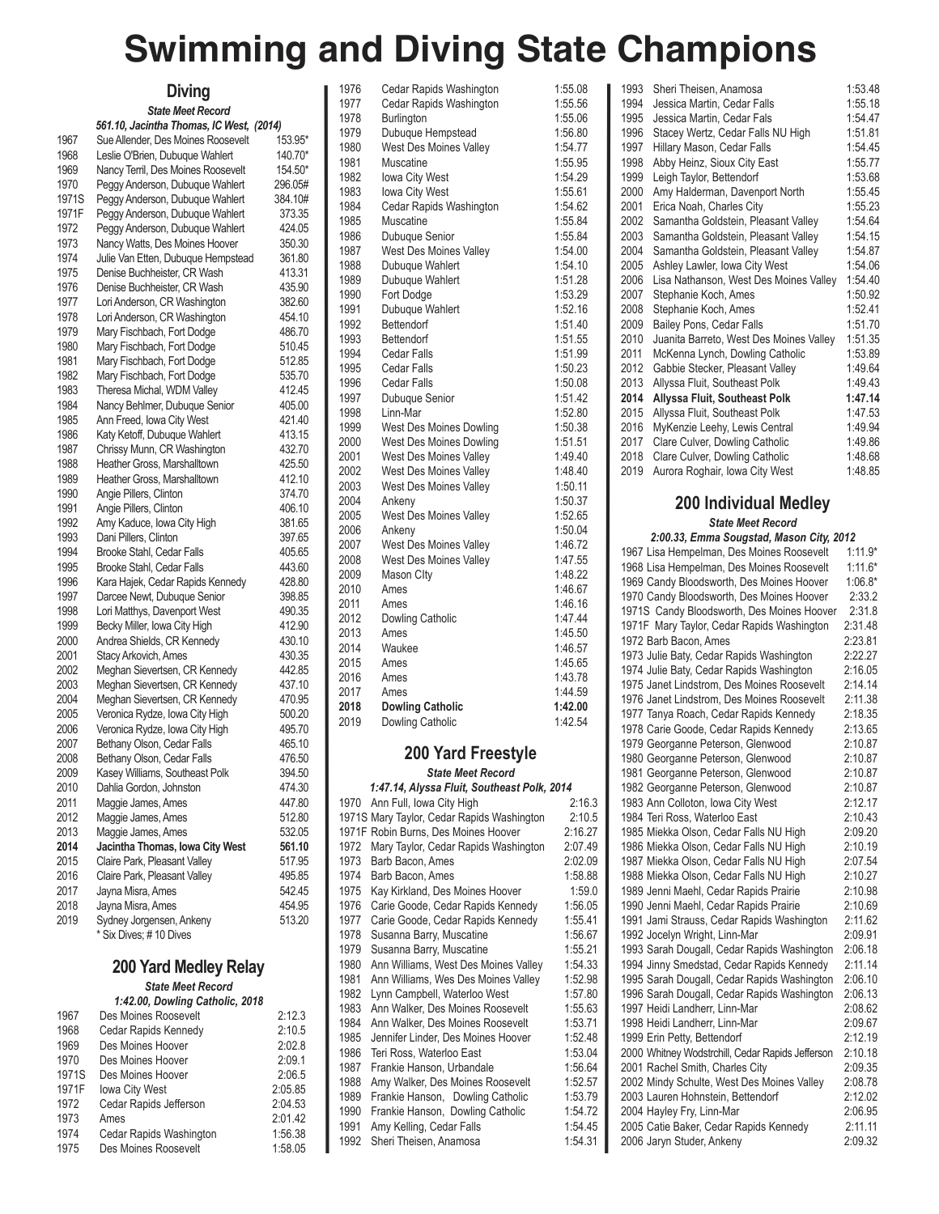## **Swimming and Diving State Champions**

|              | Diving                                                                |                    |
|--------------|-----------------------------------------------------------------------|--------------------|
|              | <b>State Meet Record</b>                                              |                    |
|              | 561.10, Jacintha Thomas, IC West, (2014)                              |                    |
| 1967<br>1968 | Sue Allender, Des Moines Roosevelt<br>Leslie O'Brien, Dubuque Wahlert | 153.95*            |
| 1969         | Nancy Terril, Des Moines Roosevelt                                    | 140.70*<br>154.50* |
| 1970         | Peggy Anderson, Dubuque Wahlert                                       | 296.05#            |
| 1971S        | Peggy Anderson, Dubuque Wahlert                                       | 384.10#            |
| 1971F        | Peggy Anderson, Dubuque Wahlert                                       | 373.35             |
| 1972         | Peggy Anderson, Dubuque Wahlert                                       | 424.05             |
| 1973         | Nancy Watts, Des Moines Hoover                                        | 350.30             |
| 1974         | Julie Van Etten, Dubuque Hempstead                                    | 361.80             |
| 1975         | Denise Buchheister, CR Wash                                           | 413.31             |
| 1976         | Denise Buchheister, CR Wash                                           | 435.90             |
| 1977         | Lori Anderson, CR Washington                                          | 382.60             |
| 1978         | Lori Anderson, CR Washington                                          | 454.10             |
| 1979         | Mary Fischbach, Fort Dodge                                            | 486.70             |
| 1980         | Mary Fischbach, Fort Dodge                                            | 510.45             |
| 1981         | Mary Fischbach, Fort Dodge                                            | 512.85             |
| 1982         | Mary Fischbach, Fort Dodge                                            | 535.70             |
| 1983         | Theresa Michal, WDM Valley                                            | 412.45             |
| 1984         | Nancy Behlmer, Dubuque Senior                                         | 405.00             |
| 1985         | Ann Freed, Iowa City West                                             | 421.40             |
| 1986         | Katy Ketoff, Dubuque Wahlert                                          | 413.15             |
| 1987         | Chrissy Munn, CR Washington                                           | 432.70             |
| 1988         | Heather Gross, Marshalltown                                           | 425.50             |
| 1989         | Heather Gross, Marshalltown                                           | 412.10             |
| 1990         | Angie Pillers, Clinton                                                | 374.70             |
| 1991         | Angie Pillers, Clinton                                                | 406.10             |
| 1992         | Amy Kaduce, Iowa City High                                            | 381.65             |
| 1993         | Dani Pillers, Clinton                                                 | 397.65             |
| 1994         | Brooke Stahl, Cedar Falls                                             | 405.65             |
| 1995         | Brooke Stahl, Cedar Falls                                             | 443.60             |
| 1996<br>1997 | Kara Hajek, Cedar Rapids Kennedy                                      | 428.80             |
| 1998         | Darcee Newt, Dubuque Senior<br>Lori Matthys, Davenport West           | 398.85<br>490.35   |
| 1999         | Becky Miller, Iowa City High                                          | 412.90             |
| 2000         | Andrea Shields, CR Kennedy                                            | 430.10             |
| 2001         | Stacy Arkovich, Ames                                                  | 430.35             |
| 2002         | Meghan Sievertsen, CR Kennedy                                         | 442.85             |
| 2003         | Meghan Sievertsen, CR Kennedy                                         | 437.10             |
| 2004         | Meghan Sievertsen, CR Kennedy                                         | 470.95             |
| 2005         | Veronica Rydze, Iowa City High                                        | 500.20             |
| 2006         | Veronica Rydze, Iowa City High                                        | 495.70             |
| 2007         | Bethany Olson, Cedar Falls                                            | 465.10             |
| 2008         | Bethany Olson, Cedar Falls                                            | 476.50             |
| 2009         | Kasey Williams, Southeast Polk                                        | 394.50             |
| 2010         | Dahlia Gordon, Johnston                                               | 474.30             |
| 2011         | Maggie James, Ames                                                    | 447.80             |
| 2012         | Maggie James, Ames                                                    | 512.80             |
| 2013         | Maggie James, Ames                                                    | 532.05             |
| 2014         | Jacintha Thomas, Iowa City West                                       | 561.10             |
| 2015         | Claire Park, Pleasant Valley                                          | 517.95             |
| 2016         | Claire Park, Pleasant Valley                                          | 495.85             |
| 2017         | Jayna Misra, Ames                                                     | 542.45             |
| 2018         | Jayna Misra, Ames                                                     | 454.95             |
| 2019         | Sydney Jorgensen, Ankeny<br>* Six Dives; # 10 Dives                   | 513.20             |

## **200 Yard Medley Relay** *State Meet Record 1:42.00, Dowling Catholic, 2018*

| 1967  | Des Moines Roosevelt    | 2:12.3  |
|-------|-------------------------|---------|
| 1968  | Cedar Rapids Kennedy    | 2:10.5  |
| 1969  | Des Moines Hoover       | 2:02.8  |
| 1970  | Des Moines Hoover       | 2:09.1  |
| 1971S | Des Moines Hoover       | 2:06.5  |
| 1971F | <b>Iowa City West</b>   | 2:05.85 |
| 1972  | Cedar Rapids Jefferson  | 2:04.53 |
| 1973  | Ames                    | 2:01.42 |
| 1974  | Cedar Rapids Washington | 1:56.38 |
| 1975  | Des Moines Roosevelt    | 1:58.05 |

| 1976 | Cedar Rapids Washington       | 1:55.08 |
|------|-------------------------------|---------|
| 1977 | Cedar Rapids Washington       | 1:55.56 |
| 1978 | Burlington                    | 1:55.06 |
| 1979 | Dubuque Hempstead             | 1:56.80 |
| 1980 | <b>West Des Moines Valley</b> | 1:54.77 |
| 1981 | Muscatine                     | 1:55.95 |
| 1982 | lowa City West                | 1:54.29 |
| 1983 | lowa City West                | 1:55.61 |
| 1984 | Cedar Rapids Washington       | 1:54.62 |
| 1985 | Muscatine                     | 1:55.84 |
| 1986 | Dubuque Senior                | 1:55.84 |
| 1987 | <b>West Des Moines Valley</b> | 1:54.00 |
| 1988 | Dubuque Wahlert               | 1:54.10 |
| 1989 | Dubuque Wahlert               | 1:51.28 |
| 1990 | Fort Dodge                    | 1:53.29 |
| 1991 | Dubuque Wahlert               | 1:52.16 |
| 1992 | Bettendorf                    | 1:51.40 |
| 1993 | Bettendorf                    | 1:51.55 |
| 1994 | <b>Cedar Falls</b>            | 1:51.99 |
| 1995 | Cedar Falls                   | 1:50.23 |
| 1996 | Cedar Falls                   | 1:50.08 |
| 1997 | Dubuque Senior                | 1:51.42 |
| 1998 | Linn-Mar                      | 1:52.80 |
| 1999 | West Des Moines Dowling       | 1:50.38 |
| 2000 | West Des Moines Dowling       | 1:51.51 |
| 2001 | <b>West Des Moines Valley</b> | 1:49.40 |
| 2002 | West Des Moines Valley        | 1:48.40 |
| 2003 | West Des Moines Valley        | 1:50.11 |
| 2004 | Ankeny                        | 1:50.37 |
| 2005 | <b>West Des Moines Valley</b> | 1:52.65 |
| 2006 | Ankeny                        | 1:50.04 |
| 2007 | <b>West Des Moines Valley</b> | 1:46.72 |
| 2008 | West Des Moines Valley        | 1:47.55 |
| 2009 | Mason Clty                    | 1:48.22 |
| 2010 | Ames                          | 1:46.67 |
| 2011 | Ames                          | 1:46.16 |
| 2012 | Dowling Catholic              | 1:47.44 |
| 2013 | Ames                          | 1:45.50 |
| 2014 | Waukee                        | 1:46.57 |
| 2015 | Ames                          | 1:45.65 |
| 2016 | Ames                          | 1:43.78 |
| 2017 | Ames                          | 1:44.59 |
| 2018 | <b>Dowling Catholic</b>       | 1:42.00 |
| 2019 | Dowling Catholic              | 1:42.54 |

## **200 Yard Freestyle**

*State Meet Record*

## *1:47.14, Alyssa Fluit, Southeast Polk, 2014*

| 1970 | Ann Full, Iowa City High                   | 2:16.3  |
|------|--------------------------------------------|---------|
|      | 1971S Mary Taylor, Cedar Rapids Washington | 2:10.5  |
|      | 1971F Robin Burns, Des Moines Hoover       | 2:16.27 |
| 1972 | Mary Taylor, Cedar Rapids Washington       | 2:07.49 |
| 1973 | Barb Bacon, Ames                           | 2:02.09 |
| 1974 | Barb Bacon, Ames                           | 1:58.88 |
| 1975 | Kay Kirkland, Des Moines Hoover            | 1:59.0  |
| 1976 | Carie Goode, Cedar Rapids Kennedy          | 1:56.05 |
| 1977 | Carie Goode, Cedar Rapids Kennedy          | 1:55.41 |
| 1978 | Susanna Barry, Muscatine                   | 1:56.67 |
| 1979 | Susanna Barry, Muscatine                   | 1:55.21 |
| 1980 | Ann Williams, West Des Moines Valley       | 1:54.33 |
| 1981 | Ann Williams, Wes Des Moines Valley        | 1:52.98 |
| 1982 | Lynn Campbell, Waterloo West               | 1:57.80 |
| 1983 | Ann Walker, Des Moines Roosevelt           | 1:55.63 |
| 1984 | Ann Walker, Des Moines Roosevelt           | 1:53.71 |
| 1985 | Jennifer Linder, Des Moines Hoover         | 1:52.48 |
| 1986 | Teri Ross, Waterloo East                   | 1:53.04 |
| 1987 | Frankie Hanson, Urbandale                  | 1:56.64 |
| 1988 | Amy Walker, Des Moines Roosevelt           | 1:52.57 |
| 1989 | Frankie Hanson, Dowling Catholic           | 1:53.79 |
| 1990 | Frankie Hanson, Dowling Catholic           | 1:54.72 |
| 1991 | Amy Kelling, Cedar Falls                   | 1:54.45 |
| 1992 | Sheri Theisen, Anamosa                     | 1:54.31 |

| 1993 | Sheri Theisen, Anamosa                  | 1:53.48 |
|------|-----------------------------------------|---------|
| 1994 | Jessica Martin, Cedar Falls             | 1:55.18 |
| 1995 | Jessica Martin, Cedar Fals              | 1:54.47 |
| 1996 | Stacey Wertz, Cedar Falls NU High       | 1:51.81 |
| 1997 | Hillary Mason, Cedar Falls              | 1:54.45 |
| 1998 | Abby Heinz, Sioux City East             | 1:55.77 |
| 1999 | Leigh Taylor, Bettendorf                | 1:53.68 |
| 2000 | Amy Halderman, Davenport North          | 1:55.45 |
| 2001 | Erica Noah, Charles City                | 1:55.23 |
| 2002 | Samantha Goldstein, Pleasant Valley     | 1:54.64 |
| 2003 | Samantha Goldstein, Pleasant Valley     | 1:54.15 |
| 2004 | Samantha Goldstein, Pleasant Valley     | 1:54.87 |
| 2005 | Ashley Lawler, Iowa City West           | 1:54.06 |
| 2006 | Lisa Nathanson, West Des Moines Valley  | 1:54.40 |
| 2007 | Stephanie Koch, Ames                    | 1:50.92 |
| 2008 | Stephanie Koch, Ames                    | 1:52.41 |
| 2009 | Bailey Pons, Cedar Falls                | 1:51.70 |
| 2010 | Juanita Barreto, West Des Moines Valley | 1:51.35 |
| 2011 | McKenna Lynch, Dowling Catholic         | 1:53.89 |
| 2012 | Gabbie Stecker, Pleasant Valley         | 1:49.64 |
| 2013 | Allyssa Fluit, Southeast Polk           | 1:49.43 |
| 2014 | Allyssa Fluit, Southeast Polk           | 1:47.14 |
| 2015 | Allyssa Fluit, Southeast Polk           | 1:47.53 |
| 2016 | MyKenzie Leehy, Lewis Central           | 1:49.94 |
| 2017 | Clare Culver, Dowling Catholic          | 1:49.86 |
| 2018 | Clare Culver, Dowling Catholic          | 1:48.68 |
| 2019 | Aurora Roghair, Iowa City West          | 1:48.85 |
|      |                                         |         |

## **200 Individual Medley**

*State Meet Record*

## *2:00.33, Emma Sougstad, Mason City, 2012*

| 2.00.00, Emma Obugstad, mason Ony, 2012          |           |
|--------------------------------------------------|-----------|
| 1967 Lisa Hempelman, Des Moines Roosevelt        | $1:11.9*$ |
| 1968 Lisa Hempelman, Des Moines Roosevelt        | $1:11.6*$ |
| 1969 Candy Bloodsworth, Des Moines Hoover        | $1:06.8*$ |
| 1970 Candy Bloodsworth, Des Moines Hoover        | 2:33.2    |
| 1971S Candy Bloodsworth, Des Moines Hoover       | 2:31.8    |
| 1971F Mary Taylor, Cedar Rapids Washington       | 2:31.48   |
| 1972 Barb Bacon, Ames                            | 2:23.81   |
| 1973 Julie Baty, Cedar Rapids Washington         | 2:22.27   |
| 1974 Julie Baty, Cedar Rapids Washington         | 2:16.05   |
| 1975 Janet Lindstrom, Des Moines Roosevelt       | 2:14.14   |
| 1976 Janet Lindstrom, Des Moines Roosevelt       | 2:11.38   |
| 1977 Tanya Roach, Cedar Rapids Kennedy           | 2:18.35   |
| 1978 Carie Goode, Cedar Rapids Kennedy           | 2:13.65   |
| 1979 Georganne Peterson, Glenwood                | 2:10.87   |
| 1980 Georganne Peterson, Glenwood                | 2:10.87   |
| 1981 Georganne Peterson, Glenwood                | 2:10.87   |
| 1982 Georganne Peterson, Glenwood                | 2:10.87   |
| 1983 Ann Colloton, Iowa City West                | 2:12.17   |
| 1984 Teri Ross, Waterloo East                    | 2:10.43   |
| 1985 Miekka Olson, Cedar Falls NU High           | 2:09.20   |
| 1986 Miekka Olson, Cedar Falls NU High           | 2:10.19   |
| 1987 Miekka Olson, Cedar Falls NU High           | 2:07.54   |
| 1988 Miekka Olson, Cedar Falls NU High           | 2:10.27   |
| 1989 Jenni Maehl, Cedar Rapids Prairie           | 2:10.98   |
| 1990 Jenni Maehl, Cedar Rapids Prairie           | 2:10.69   |
| 1991 Jami Strauss, Cedar Rapids Washington       | 2:11.62   |
| 1992 Jocelyn Wright, Linn-Mar                    | 2:09.91   |
| 1993 Sarah Dougall, Cedar Rapids Washington      | 2:06.18   |
| 1994 Jinny Smedstad, Cedar Rapids Kennedy        | 2:11.14   |
| 1995 Sarah Dougall, Cedar Rapids Washington      | 2:06.10   |
| 1996 Sarah Dougall, Cedar Rapids Washington      | 2:06.13   |
| 1997 Heidi Landherr, Linn-Mar                    | 2:08.62   |
| 1998 Heidi Landherr, Linn-Mar                    | 2:09.67   |
| 1999 Erin Petty, Bettendorf                      | 2:12.19   |
| 2000 Whitney Wodstrchill, Cedar Rapids Jefferson | 2:10.18   |
| 2001 Rachel Smith, Charles City                  | 2:09.35   |
| 2002 Mindy Schulte, West Des Moines Valley       | 2:08.78   |
| 2003 Lauren Hohnstein, Bettendorf                | 2:12.02   |
| 2004 Hayley Fry, Linn-Mar                        | 2:06.95   |
| 2005 Catie Baker, Cedar Rapids Kennedy           | 2:11.11   |
| 2006 Jaryn Studer, Ankeny                        | 2:09.32   |
|                                                  |           |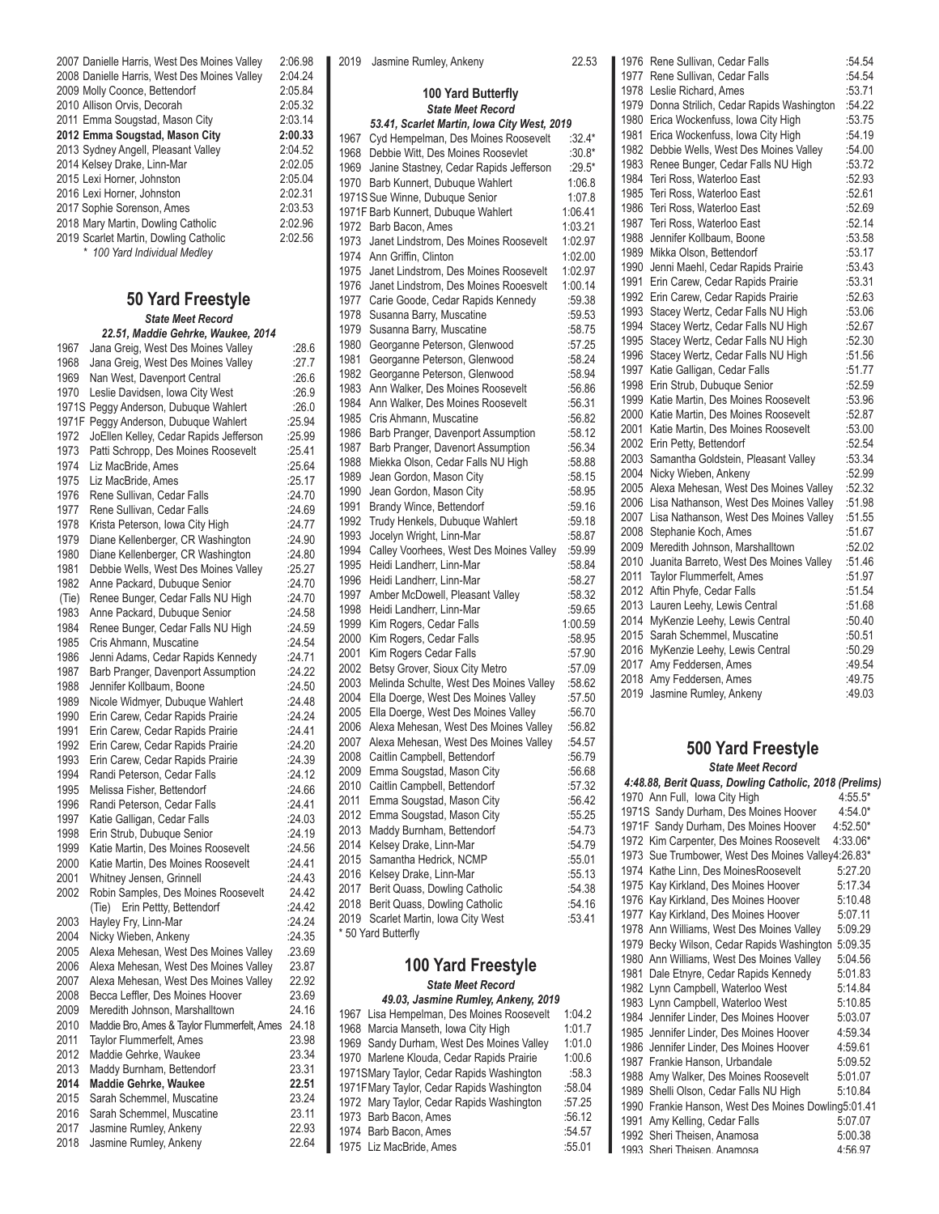| 2007 Danielle Harris, West Des Moines Valley | 2:06.98 |
|----------------------------------------------|---------|
| 2008 Danielle Harris, West Des Moines Valley | 2:04.24 |
| 2009 Molly Coonce, Bettendorf                | 2:05.84 |
| 2010 Allison Orvis, Decorah                  | 2:05.32 |
| 2011 Emma Sougstad, Mason City               | 2:03.14 |
| 2012 Emma Sougstad, Mason City               | 2:00.33 |
| 2013 Sydney Angell, Pleasant Valley          | 2:04.52 |
| 2014 Kelsey Drake, Linn-Mar                  | 2:02.05 |
| 2015 Lexi Horner, Johnston                   | 2:05.04 |
| 2016 Lexi Horner, Johnston                   | 2:02.31 |
| 2017 Sophie Sorenson, Ames                   | 2:03.53 |
| 2018 Mary Martin, Dowling Catholic           | 2:02.96 |
| 2019 Scarlet Martin, Dowling Catholic        | 2:02.56 |
| * 100 Yard Individual Medley                 |         |

## **50 Yard Freestyle** *State Meet Record*

## *22.51, Maddie Gehrke, Waukee, 2014*

| 1967  | Jana Greig, West Des Moines Valley          | :28.6  |
|-------|---------------------------------------------|--------|
| 1968  | Jana Greig, West Des Moines Valley          | :27.7  |
| 1969  | Nan West, Davenport Central                 | :26.6  |
| 1970  | Leslie Davidsen, Iowa City West             | :26.9  |
| 1971S | Peggy Anderson, Dubuque Wahlert             | :26.0  |
| 1971F | Peggy Anderson, Dubuque Wahlert             | :25.94 |
| 1972  | JoEllen Kelley, Cedar Rapids Jefferson      | :25.99 |
| 1973  | Patti Schropp, Des Moines Roosevelt         | :25.41 |
| 1974  | Liz MacBride, Ames                          | :25.64 |
| 1975  | Liz MacBride, Ames                          | :25.17 |
| 1976  | Rene Sullivan, Cedar Falls                  | :24.70 |
| 1977  | Rene Sullivan, Cedar Falls                  | :24.69 |
| 1978  | Krista Peterson, Iowa City High             | :24.77 |
| 1979  | Diane Kellenberger, CR Washington           | :24.90 |
| 1980  | Diane Kellenberger, CR Washington           | :24.80 |
| 1981  | Debbie Wells, West Des Moines Valley        | :25.27 |
| 1982  | Anne Packard, Dubuque Senior                | :24.70 |
| (Tie) | Renee Bunger, Cedar Falls NU High           | :24.70 |
| 1983  | Anne Packard, Dubuque Senior                | :24.58 |
| 1984  | Renee Bunger, Cedar Falls NU High           | :24.59 |
| 1985  | Cris Ahmann, Muscatine                      | :24.54 |
| 1986  | Jenni Adams, Cedar Rapids Kennedy           | :24.71 |
| 1987  | Barb Pranger, Davenport Assumption          | :24.22 |
| 1988  | Jennifer Kollbaum, Boone                    | :24.50 |
| 1989  | Nicole Widmyer, Dubuque Wahlert             | :24.48 |
| 1990  | Erin Carew, Cedar Rapids Prairie            | :24.24 |
| 1991  | Erin Carew, Cedar Rapids Prairie            | :24.41 |
| 1992  | Erin Carew, Cedar Rapids Prairie            | :24.20 |
| 1993  | Erin Carew, Cedar Rapids Prairie            | :24.39 |
| 1994  | Randi Peterson, Cedar Falls                 | :24.12 |
| 1995  | Melissa Fisher, Bettendorf                  | :24.66 |
| 1996  | Randi Peterson, Cedar Falls                 | :24.41 |
| 1997  | Katie Galligan, Cedar Falls                 | :24.03 |
| 1998  | Erin Strub, Dubuque Senior                  | :24.19 |
| 1999  | Katie Martin, Des Moines Roosevelt          | :24.56 |
| 2000  | Katie Martin, Des Moines Roosevelt          | :24.41 |
| 2001  | Whitney Jensen, Grinnell                    | :24.43 |
| 2002  | Robin Samples, Des Moines Roosevelt         | 24.42  |
|       | (Tie) Erin Pettty, Bettendorf               | :24.42 |
| 2003  | Hayley Fry, Linn-Mar                        | :24.24 |
| 2004  | Nicky Wieben, Ankeny                        | :24.35 |
| 2005  | Alexa Mehesan, West Des Moines Valley       | .23.69 |
| 2006  | Alexa Mehesan, West Des Moines Valley       | 23.87  |
| 2007  | Alexa Mehesan, West Des Moines Valley       | 22.92  |
| 2008  | Becca Leffler, Des Moines Hoover            | 23.69  |
| 2009  | Meredith Johnson, Marshalltown              | 24.16  |
| 2010  | Maddie Bro, Ames & Taylor Flummerfelt, Ames | 24.18  |
| 2011  | Taylor Flummerfelt, Ames                    | 23.98  |
| 2012  | Maddie Gehrke, Waukee                       | 23.34  |
| 2013  | Maddy Burnham, Bettendorf                   | 23.31  |
| 2014  | Maddie Gehrke, Waukee                       | 22.51  |
| 2015  | Sarah Schemmel, Muscatine                   | 23.24  |
| 2016  | Sarah Schemmel, Muscatine                   | 23.11  |
| 2017  | Jasmine Rumley, Ankeny                      | 22.93  |
| 2018  | Jasmine Rumley, Ankeny                      | 22.64  |
|       |                                             |        |

| 2019         | Jasmine Rumley, Ankeny                                     | 22.53            |
|--------------|------------------------------------------------------------|------------------|
|              | 100 Yard Butterfly                                         |                  |
|              | <b>State Meet Record</b>                                   |                  |
|              | 53.41, Scarlet Martin, Iowa City West, 2019                |                  |
| 1967         | Cyd Hempelman, Des Moines Roosevelt                        | :32.4*           |
| 1968         | Debbie Witt, Des Moines Roosevlet                          | $:30.8*$         |
| 1969         | Janine Stastney, Cedar Rapids Jefferson                    | $:29.5*$         |
| 1970         | Barb Kunnert, Dubuque Wahlert                              | 1:06.8           |
|              | 1971S Sue Winne, Dubuque Senior                            | 1:07.8           |
|              | 1971F Barb Kunnert, Dubuque Wahlert                        | 1:06.41          |
| 1972         | Barb Bacon, Ames                                           | 1:03.21          |
| 1973         | Janet Lindstrom, Des Moines Roosevelt                      | 1:02.97          |
| 1974         | Ann Griffin, Clinton                                       | 1:02.00          |
| 1975         | Janet Lindstrom, Des Moines Roosevelt                      | 1:02.97          |
| 1976         | Janet Lindstrom, Des Moines Rooesvelt                      | 1:00.14          |
| 1977         | Carie Goode, Cedar Rapids Kennedy                          | :59.38           |
| 1978         | Susanna Barry, Muscatine                                   | :59.53           |
| 1979         | Susanna Barry, Muscatine                                   | :58.75           |
| 1980         | Georganne Peterson, Glenwood                               | :57.25           |
| 1981         | Georganne Peterson, Glenwood                               | :58.24           |
| 1982         | Georganne Peterson, Glenwood                               | :58.94           |
| 1983         | Ann Walker, Des Moines Roosevelt                           | :56.86           |
| 1984         | Ann Walker, Des Moines Roosevelt                           | :56.31           |
| 1985         | Cris Ahmann, Muscatine                                     | :56.82           |
| 1986         | Barb Pranger, Davenport Assumption                         | :58.12           |
| 1987         | Barb Pranger, Davenort Assumption                          | :56.34           |
| 1988         | Miekka Olson, Cedar Falls NU High                          | :58.88           |
| 1989         | Jean Gordon, Mason City                                    | :58.15           |
| 1990         | Jean Gordon, Mason City                                    | :58.95           |
| 1991<br>1992 | Brandy Wince, Bettendorf                                   | :59.16           |
| 1993         | Trudy Henkels, Dubuque Wahlert<br>Jocelyn Wright, Linn-Mar | :59.18<br>:58.87 |
| 1994         | Calley Voorhees, West Des Moines Valley                    | :59.99           |
| 1995         | Heidi Landherr, Linn-Mar                                   | :58.84           |
| 1996         | Heidi Landherr, Linn-Mar                                   | :58.27           |
| 1997         | Amber McDowell, Pleasant Valley                            | :58.32           |
| 1998         | Heidi Landherr, Linn-Mar                                   | :59.65           |
| 1999         | Kim Rogers, Cedar Falls                                    | 1:00.59          |
| 2000         | Kim Rogers, Cedar Falls                                    | :58.95           |
| 2001         | Kim Rogers Cedar Falls                                     | :57.90           |
| 2002         | Betsy Grover, Sioux City Metro                             | :57.09           |
| 2003         | Melinda Schulte, West Des Moines Valley                    | :58.62           |
| 2004         | Ella Doerge, West Des Moines Valley                        | :57.50           |
| 2005         | Ella Doerge, West Des Moines Valley                        | :56.70           |
| 2006         | Alexa Mehesan, West Des Moines Valley                      | :56.82           |
| 2007         | Alexa Mehesan, West Des Moines Valley                      | :54.57           |
| 2008         | Caitlin Campbell, Bettendorf                               | :56.79           |
| 2009         | Emma Sougstad, Mason City                                  | :56.68           |
| 2010         | Caitlin Campbell, Bettendorf                               | :57.32           |
| 2011         | Emma Sougstad, Mason City                                  | :56.42           |
| 2012         | Emma Sougstad, Mason City                                  | :55.25           |
| 2013         | Maddy Burnham, Bettendorf                                  | :54.73           |
| 2014         | Kelsey Drake, Linn-Mar                                     | :54.79           |
| 2015         | Samantha Hedrick, NCMP                                     | :55.01           |
| 2016         | Kelsey Drake, Linn-Mar                                     | :55.13           |
| 2017         | Berit Quass, Dowling Catholic                              | :54.38           |
| 2018         | Berit Quass, Dowling Catholic                              | :54.16           |
| 2019         | Scarlet Martin, Iowa City West                             | :53.41           |
|              | * 50 Yard Butterfly                                        |                  |

## **100 Yard Freestyle** *State Meet Record*

## *49.03, Jasmine Rumley, Ankeny, 2019*

| 1967 Lisa Hempelman, Des Moines Roosevelt   | 1:04.2 |
|---------------------------------------------|--------|
| 1968 Marcia Manseth, Iowa City High         | 1:01.7 |
| 1969 Sandy Durham, West Des Moines Valley   | 1:01.0 |
| 1970 Marlene Klouda, Cedar Rapids Prairie   | 1:00.6 |
| 1971 SMary Taylor, Cedar Rapids Washington  | :58.3  |
| 1971 F Mary Taylor, Cedar Rapids Washington | :58.04 |
| 1972 Mary Taylor, Cedar Rapids Washington   | :57.25 |
| 1973 Barb Bacon, Ames                       | :56.12 |
| 1974 Barb Bacon, Ames                       | :54.57 |
| 1975 Liz MacBride, Ames                     | :55.01 |
|                                             |        |

| 1976 | Rene Sullivan, Cedar Falls              | :54.54 |
|------|-----------------------------------------|--------|
| 1977 | Rene Sullivan, Cedar Falls              | :54.54 |
| 1978 | Leslie Richard, Ames                    | :53.71 |
| 1979 | Donna Strilich, Cedar Rapids Washington | :54.22 |
| 1980 | Erica Wockenfuss, Iowa City High        | :53.75 |
| 1981 | Erica Wockenfuss, Iowa City High        | :54.19 |
| 1982 | Debbie Wells, West Des Moines Valley    | :54.00 |
| 1983 | Renee Bunger, Cedar Falls NU High       | :53.72 |
| 1984 | Teri Ross, Waterloo East                | :52.93 |
| 1985 | Teri Ross, Waterloo East                | :52.61 |
| 1986 | Teri Ross, Waterloo East                | :52.69 |
| 1987 | Teri Ross, Waterloo East                | :52.14 |
| 1988 | Jennifer Kollbaum, Boone                | :53.58 |
| 1989 | Mikka Olson, Bettendorf                 | :53.17 |
| 1990 | Jenni Maehl, Cedar Rapids Prairie       | :53.43 |
| 1991 | Erin Carew, Cedar Rapids Prairie        | :53.31 |
| 1992 | Erin Carew, Cedar Rapids Prairie        | :52.63 |
| 1993 | Stacey Wertz, Cedar Falls NU High       | :53.06 |
| 1994 | Stacey Wertz, Cedar Falls NU High       | :52.67 |
| 1995 | Stacey Wertz, Cedar Falls NU High       | :52.30 |
| 1996 | Stacey Wertz, Cedar Falls NU High       | :51.56 |
| 1997 | Katie Galligan, Cedar Falls             | :51.77 |
| 1998 | Erin Strub, Dubuque Senior              | :52.59 |
| 1999 | Katie Martin, Des Moines Roosevelt      | :53.96 |
| 2000 | Katie Martin, Des Moines Roosevelt      | :52.87 |
| 2001 | Katie Martin, Des Moines Roosevelt      | :53.00 |
| 2002 | Erin Petty, Bettendorf                  | :52.54 |
| 2003 | Samantha Goldstein, Pleasant Valley     | :53.34 |
| 2004 | Nicky Wieben, Ankeny                    | :52.99 |
| 2005 | Alexa Mehesan, West Des Moines Valley   | :52.32 |
| 2006 | Lisa Nathanson, West Des Moines Valley  | :51.98 |
| 2007 | Lisa Nathanson, West Des Moines Valley  | :51.55 |
| 2008 | Stephanie Koch, Ames                    | :51.67 |
| 2009 | Meredith Johnson, Marshalltown          | :52.02 |
| 2010 | Juanita Barreto, West Des Moines Valley | :51.46 |
| 2011 | <b>Taylor Flummerfelt, Ames</b>         | :51.97 |
| 2012 | Aftin Phyfe, Cedar Falls                | :51.54 |
| 2013 | Lauren Leehy, Lewis Central             | :51.68 |
| 2014 | MyKenzie Leehy, Lewis Central           | :50.40 |
| 2015 | Sarah Schemmel, Muscatine               | :50.51 |
| 2016 | MyKenzie Leehy, Lewis Central           | :50.29 |
| 2017 | Amy Feddersen, Ames                     | :49.54 |
| 2018 | Amy Feddersen, Ames                     | :49.75 |
| 2019 | Jasmine Rumley, Ankeny                  | :49.03 |

## **500 Yard Freestyle** *State Meet Record*

| 4:48.88, Berit Quass, Dowling Catholic, 2018 (Prelims) |           |
|--------------------------------------------------------|-----------|
| 1970 Ann Full, Iowa City High                          | $4:55.5*$ |
| 1971S Sandy Durham, Des Moines Hoover                  | $4:54.0*$ |
| 1971F Sandy Durham, Des Moines Hoover                  | 4:52.50*  |
| 1972 Kim Carpenter, Des Moines Roosevelt               | 4:33.06*  |
| 1973 Sue Trumbower, West Des Moines Valley4:26.83*     |           |
| 1974 Kathe Linn, Des MoinesRoosevelt                   | 5:27.20   |
| 1975 Kay Kirkland, Des Moines Hoover                   | 5:17.34   |
| Kay Kirkland, Des Moines Hoover<br>1976                | 5:10.48   |
| Kay Kirkland, Des Moines Hoover<br>1977                | 5:07.11   |
| 1978 Ann Williams, West Des Moines Valley              | 5:09.29   |
| 1979 Becky Wilson, Cedar Rapids Washington             | 5:09.35   |
| 1980 Ann Williams, West Des Moines Valley              | 5:04.56   |
| Dale Etnyre, Cedar Rapids Kennedy<br>1981              | 5:01.83   |
| 1982 Lynn Campbell, Waterloo West                      | 5:14.84   |
| Lynn Campbell, Waterloo West<br>1983                   | 5:10.85   |
| Jennifer Linder, Des Moines Hoover<br>1984             | 5:03.07   |
| 1985 Jennifer Linder, Des Moines Hoover                | 4:59.34   |
| Jennifer Linder, Des Moines Hoover<br>1986             | 4:59.61   |
| Frankie Hanson, Urbandale<br>1987                      | 5:09.52   |
| Amy Walker, Des Moines Roosevelt<br>1988               | 5:01.07   |
| 1989 Shelli Olson, Cedar Falls NU High                 | 5:10.84   |
| 1990 Frankie Hanson, West Des Moines Dowling5:01.41    |           |
| 1991<br>Amy Kelling, Cedar Falls                       | 5:07.07   |
| 1992 Sheri Theisen, Anamosa                            | 5:00.38   |
| 1993 Sheri Theisen Anamosa                             | 4.56.97   |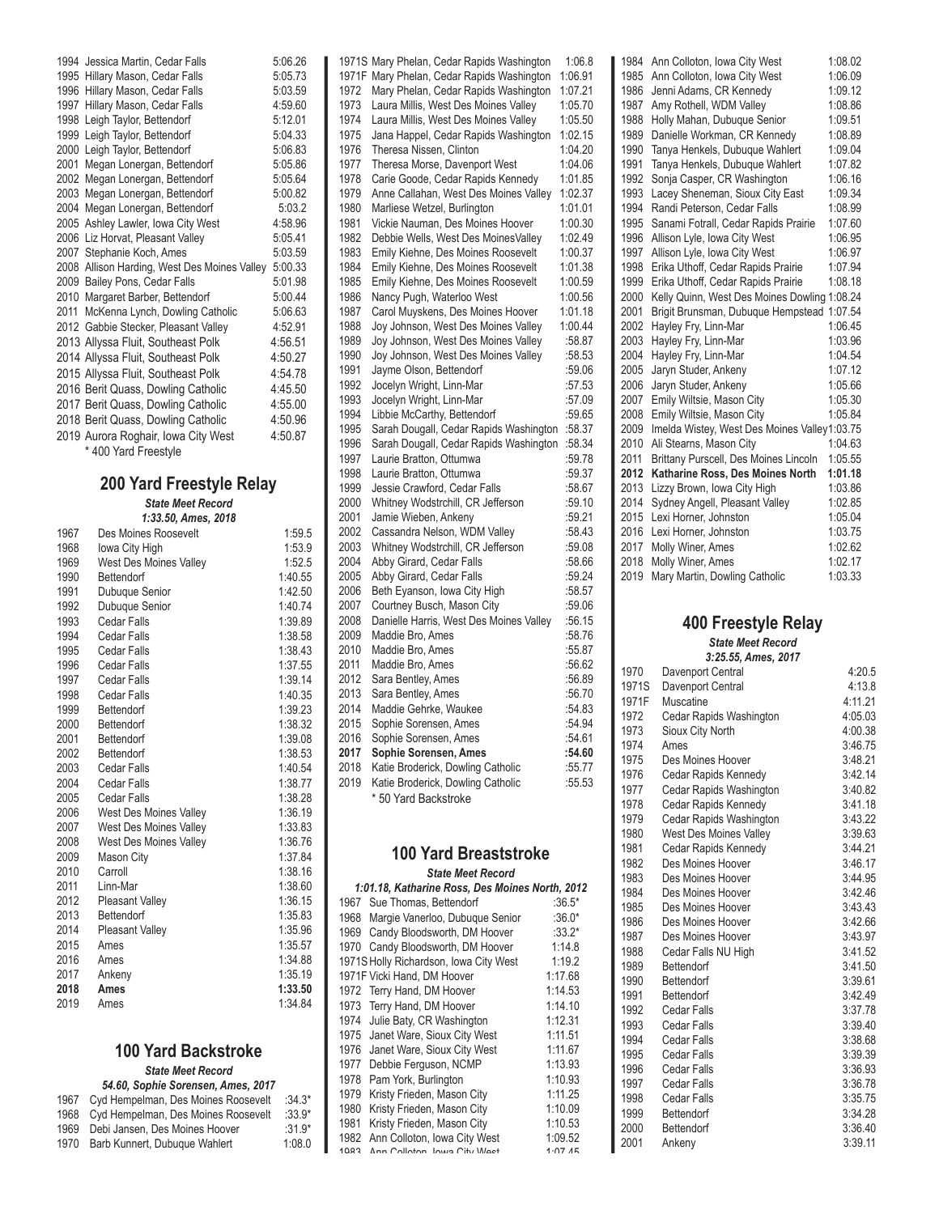| 1994 | Jessica Martin, Cedar Falls             | 5:06.26 |
|------|-----------------------------------------|---------|
|      | 1995 Hillary Mason, Cedar Falls         | 5:05.73 |
| 1996 | Hillary Mason, Cedar Falls              | 5:03.59 |
| 1997 | Hillary Mason, Cedar Falls              | 4:59.60 |
| 1998 | Leigh Taylor, Bettendorf                | 5:12.01 |
| 1999 | Leigh Taylor, Bettendorf                | 5:04.33 |
| 2000 | Leigh Taylor, Bettendorf                | 5:06.83 |
| 2001 | Megan Lonergan, Bettendorf              | 5:05.86 |
| 2002 | Megan Lonergan, Bettendorf              | 5:05.64 |
| 2003 | Megan Lonergan, Bettendorf              | 5:00.82 |
| 2004 | Megan Lonergan, Bettendorf              | 5:03.2  |
| 2005 | Ashley Lawler, Iowa City West           | 4:58.96 |
| 2006 | Liz Horvat, Pleasant Valley             | 5:05.41 |
| 2007 | Stephanie Koch, Ames                    | 5:03.59 |
| 2008 | Allison Harding, West Des Moines Valley | 5:00.33 |
|      | 2009 Bailey Pons, Cedar Falls           | 5:01.98 |
|      | 2010 Margaret Barber, Bettendorf        | 5:00.44 |
| 2011 | McKenna Lynch, Dowling Catholic         | 5:06.63 |
|      | 2012 Gabbie Stecker, Pleasant Valley    | 4:52.91 |
|      | 2013 Allyssa Fluit, Southeast Polk      | 4:56.51 |
|      | 2014 Allyssa Fluit, Southeast Polk      | 4:50.27 |
|      | 2015 Allyssa Fluit, Southeast Polk      | 4:54.78 |
|      | 2016 Berit Quass, Dowling Catholic      | 4:45.50 |
|      | 2017 Berit Quass, Dowling Catholic      | 4:55.00 |
|      | 2018 Berit Quass, Dowling Catholic      | 4:50.96 |
|      | 2019 Aurora Roghair, Iowa City West     | 4:50.87 |
|      | * 400 Yard Freestyle                    |         |
|      |                                         |         |

## **200 Yard Freestyle Relay**

*State Meet Record 1:33.50, Ames, 2018*

| 1967 | Des Moines Roosevelt          | 1:59.5  |
|------|-------------------------------|---------|
| 1968 | Iowa City High                | 1:53.9  |
| 1969 | <b>West Des Moines Valley</b> | 1:52.5  |
| 1990 | Bettendorf                    | 1:40.55 |
| 1991 | Dubuque Senior                | 1:42.50 |
| 1992 | Dubuque Senior                | 1:40.74 |
| 1993 | Cedar Falls                   | 1:39.89 |
| 1994 | Cedar Falls                   | 1:38.58 |
| 1995 | Cedar Falls                   | 1:38.43 |
| 1996 | Cedar Falls                   | 1:37.55 |
| 1997 | Cedar Falls                   | 1:39.14 |
| 1998 | <b>Cedar Falls</b>            | 1:40.35 |
| 1999 | Bettendorf                    | 1:39.23 |
| 2000 | Bettendorf                    | 1:38.32 |
| 2001 | Bettendorf                    | 1:39.08 |
| 2002 | Bettendorf                    | 1:38.53 |
| 2003 | Cedar Falls                   | 1:40.54 |
| 2004 | Cedar Falls                   | 1:38.77 |
| 2005 | Cedar Falls                   | 1:38.28 |
| 2006 | West Des Moines Valley        | 1:36.19 |
| 2007 | <b>West Des Moines Valley</b> | 1:33.83 |
| 2008 | West Des Moines Valley        | 1:36.76 |
| 2009 | Mason City                    | 1:37.84 |
| 2010 | Carroll                       | 1:38.16 |
| 2011 | Linn-Mar                      | 1:38.60 |
| 2012 | <b>Pleasant Valley</b>        | 1:36.15 |
| 2013 | Bettendorf                    | 1:35.83 |
| 2014 | <b>Pleasant Valley</b>        | 1:35.96 |
| 2015 | Ames                          | 1:35.57 |
| 2016 | Ames                          | 1:34.88 |
| 2017 | Ankeny                        | 1:35.19 |
| 2018 | Ames                          | 1:33.50 |
| 2019 | Ames                          | 1:34.84 |

## **100 Yard Backstroke** *State Meet Record*

| 54.60, Sophie Sorensen, Ames, 2017 |                                     |          |  |  |
|------------------------------------|-------------------------------------|----------|--|--|
| 1967                               | Cyd Hempelman, Des Moines Roosevelt | $:34.3*$ |  |  |
| 1968                               | Cyd Hempelman, Des Moines Roosevelt | $:33.9*$ |  |  |
| 1969                               | Debi Jansen. Des Moines Hoover      | $:31.9*$ |  |  |
| 1970                               | Barb Kunnert, Dubuque Wahlert       | 1:08.0   |  |  |

H

|       | 1971S Mary Phelan, Cedar Rapids Washington                | 1:06.8  |
|-------|-----------------------------------------------------------|---------|
| 1971F | Mary Phelan, Cedar Rapids Washington                      | 1:06.91 |
| 1972  | Mary Phelan, Cedar Rapids Washington                      | 1:07.21 |
| 1973  | Laura Millis, West Des Moines Valley                      | 1:05.70 |
| 1974  | Laura Millis, West Des Moines Valley                      | 1:05.50 |
| 1975  | Jana Happel, Cedar Rapids Washington                      | 1:02.15 |
| 1976  | Theresa Nissen, Clinton                                   | 1:04.20 |
| 1977  | Theresa Morse, Davenport West                             | 1:04.06 |
| 1978  | Carie Goode, Cedar Rapids Kennedy                         | 1:01.85 |
| 1979  | Anne Callahan, West Des Moines Valley                     | 1:02.37 |
| 1980  | Marliese Wetzel, Burlington                               | 1:01.01 |
| 1981  | Vickie Nauman, Des Moines Hoover                          | 1:00.30 |
| 1982  | Debbie Wells, West Des MoinesValley                       | 1:02.49 |
| 1983  | Emily Kiehne, Des Moines Roosevelt                        | 1:00.37 |
| 1984  | Emily Kiehne, Des Moines Roosevelt                        | 1:01.38 |
| 1985  | Emily Kiehne, Des Moines Roosevelt                        | 1:00.59 |
| 1986  | Nancy Pugh, Waterloo West                                 | 1:00.56 |
| 1987  | Carol Muyskens, Des Moines Hoover                         | 1:01.18 |
| 1988  | Joy Johnson, West Des Moines Valley                       | 1:00.44 |
| 1989  | Joy Johnson, West Des Moines Valley                       | :58.87  |
| 1990  | Joy Johnson, West Des Moines Valley                       | :58.53  |
| 1991  | Jayme Olson, Bettendorf                                   | :59.06  |
| 1992  | Jocelyn Wright, Linn-Mar                                  | :57.53  |
| 1993  | Jocelyn Wright, Linn-Mar                                  | :57.09  |
| 1994  | Libbie McCarthy, Bettendorf                               | :59.65  |
| 1995  | Sarah Dougall, Cedar Rapids Washington                    | :58.37  |
| 1996  | Sarah Dougall, Cedar Rapids Washington                    | :58.34  |
| 1997  | Laurie Bratton, Ottumwa                                   | :59.78  |
| 1998  | Laurie Bratton, Ottumwa                                   | :59.37  |
| 1999  | Jessie Crawford, Cedar Falls                              | :58.67  |
| 2000  | Whitney Wodstrchill, CR Jefferson                         | :59.10  |
| 2001  | Jamie Wieben, Ankeny                                      | :59.21  |
| 2002  | Cassandra Nelson, WDM Valley                              | :58.43  |
| 2003  | Whitney Wodstrchill, CR Jefferson                         | :59.08  |
| 2004  | Abby Girard, Cedar Falls                                  | :58.66  |
| 2005  | Abby Girard, Cedar Falls                                  | :59.24  |
| 2006  | Beth Eyanson, Iowa City High                              | :58.57  |
| 2007  | Courtney Busch, Mason City                                | :59.06  |
| 2008  | Danielle Harris, West Des Moines Valley                   | :56.15  |
| 2009  | Maddie Bro, Ames                                          | :58.76  |
| 2010  | Maddie Bro, Ames                                          | :55.87  |
| 2011  | Maddie Bro, Ames                                          | :56.62  |
| 2012  | Sara Bentley, Ames                                        | :56.89  |
| 2013  | Sara Bentley, Ames                                        | :56.70  |
| 2014  | Maddie Gehrke, Waukee                                     | :54.83  |
| 2015  | Sophie Sorensen, Ames                                     | :54.94  |
| 2016  | Sophie Sorensen, Ames                                     | :54.61  |
| 2017  | Sophie Sorensen, Ames                                     | :54.60  |
| 2018  | Katie Broderick, Dowling Catholic                         | :55.77  |
| 2019  | Katie Broderick, Dowling Catholic<br>* 50 Yard Backstroke | :55.53  |

## **100 Yard Breaststroke** *State Meet Record*

|                                                 | <u>ulalu Muu Nuuunu</u>                |         |  |  |
|-------------------------------------------------|----------------------------------------|---------|--|--|
| 1:01.18, Katharine Ross, Des Moines North, 2012 |                                        |         |  |  |
| 1967                                            | Sue Thomas, Bettendorf                 | :36.5*  |  |  |
| 1968                                            | Margie Vanerloo, Dubuque Senior        | :36.0*  |  |  |
| 1969                                            | Candy Bloodsworth, DM Hoover           | :33.2*  |  |  |
| 1970                                            | Candy Bloodsworth, DM Hoover           | 1:14.8  |  |  |
|                                                 | 1971S Holly Richardson, Iowa City West | 1:19.2  |  |  |
|                                                 | 1971F Vicki Hand, DM Hoover            | 1:17.68 |  |  |
| 1972                                            | Terry Hand, DM Hoover                  | 1:14.53 |  |  |
| 1973                                            | Terry Hand, DM Hoover                  | 1:14.10 |  |  |
| 1974                                            | Julie Baty, CR Washington              | 1:12.31 |  |  |
| 1975                                            | Janet Ware, Sioux City West            | 1:11.51 |  |  |
| 1976                                            | Janet Ware, Sioux City West            | 1:11.67 |  |  |
| 1977                                            | Debbie Ferguson, NCMP                  | 1:13.93 |  |  |
| 1978                                            | Pam York, Burlington                   | 1:10.93 |  |  |
| 1979                                            | Kristy Frieden, Mason City             | 1:11.25 |  |  |
| 1980                                            | Kristy Frieden, Mason City             | 1:10.09 |  |  |
| 1981                                            | Kristy Frieden, Mason City             | 1:10.53 |  |  |
| 1982                                            | Ann Colloton, Iowa City West           | 1:09.52 |  |  |
| 1002                                            | Ann Collaton Journ City Mast           | 1.07A   |  |  |

| 1984 | Ann Colloton, Iowa City West                 | 1:08.02 |
|------|----------------------------------------------|---------|
| 1985 | Ann Colloton, Iowa City West                 | 1:06.09 |
| 1986 | Jenni Adams, CR Kennedy                      | 1:09.12 |
| 1987 | Amy Rothell, WDM Valley                      | 1:08.86 |
| 1988 | Holly Mahan, Dubuque Senior                  | 1:09.51 |
| 1989 | Danielle Workman, CR Kennedy                 | 1:08.89 |
| 1990 | Tanya Henkels, Dubuque Wahlert               | 1:09.04 |
| 1991 | Tanya Henkels, Dubuque Wahlert               | 1:07.82 |
| 1992 | Sonja Casper, CR Washington                  | 1:06.16 |
| 1993 | Lacey Sheneman, Sioux City East              | 1:09.34 |
| 1994 | Randi Peterson, Cedar Falls                  | 1:08.99 |
| 1995 | Sanami Fotrall, Cedar Rapids Prairie         | 1:07.60 |
| 1996 | Allison Lyle, Iowa City West                 | 1:06.95 |
| 1997 | Allison Lyle, Iowa City West                 | 1:06.97 |
| 1998 | Erika Uthoff, Cedar Rapids Prairie           | 1:07.94 |
| 1999 | Erika Uthoff, Cedar Rapids Prairie           | 1:08.18 |
| 2000 | Kelly Quinn, West Des Moines Dowling         | 1:08.24 |
| 2001 | Brigit Brunsman, Dubuque Hempstead           | 1:07.54 |
| 2002 | Hayley Fry, Linn-Mar                         | 1:06.45 |
| 2003 | Hayley Fry, Linn-Mar                         | 1:03.96 |
| 2004 | Hayley Fry, Linn-Mar                         | 1:04.54 |
| 2005 | Jaryn Studer, Ankeny                         | 1:07.12 |
| 2006 | Jaryn Studer, Ankeny                         | 1:05.66 |
| 2007 | Emily Wiltsie, Mason City                    | 1:05.30 |
| 2008 | Emily Wiltsie, Mason City                    | 1:05.84 |
| 2009 | Imelda Wistey, West Des Moines Valley1:03.75 |         |
| 2010 | Ali Stearns, Mason City                      | 1:04.63 |
| 2011 | Brittany Purscell, Des Moines Lincoln        | 1:05.55 |
| 2012 | Katharine Ross, Des Moines North             | 1:01.18 |
| 2013 | Lizzy Brown, Iowa City High                  | 1:03.86 |
| 2014 | Sydney Angell, Pleasant Valley               | 1:02.85 |
| 2015 | Lexi Horner, Johnston                        | 1:05.04 |
| 2016 | Lexi Horner, Johnston                        | 1:03.75 |
| 2017 | Molly Winer, Ames                            | 1:02.62 |
| 2018 | Molly Winer, Ames                            | 1:02.17 |
| 2019 | Mary Martin, Dowling Catholic                | 1:03.33 |

## **400 Freestyle Relay**

*State Meet Record 3:25.55, Ames, 2017* 1970 Davenport Central 4:20.5

| 1971S | Davenport Central       | 4:13.8  |
|-------|-------------------------|---------|
| 1971F | Muscatine               | 4:11.21 |
| 1972  | Cedar Rapids Washington | 4:05.03 |
| 1973  | Sioux City North        | 4:00.38 |
| 1974  | Ames                    | 3:46.75 |
| 1975  | Des Moines Hoover       | 3:48.21 |
| 1976  | Cedar Rapids Kennedy    | 3:42.14 |
| 1977  | Cedar Rapids Washington | 3:40.82 |
| 1978  | Cedar Rapids Kennedy    | 3:41.18 |
| 1979  | Cedar Rapids Washington | 3:43.22 |
| 1980  | West Des Moines Valley  | 3:39.63 |
| 1981  | Cedar Rapids Kennedy    | 3:44.21 |
| 1982  | Des Moines Hoover       | 3:46.17 |
| 1983  | Des Moines Hoover       | 3:44.95 |
| 1984  | Des Moines Hoover       | 3:42.46 |
| 1985  | Des Moines Hoover       | 3:43.43 |
| 1986  | Des Moines Hoover       | 3:42.66 |
| 1987  | Des Moines Hoover       | 3:43.97 |
| 1988  | Cedar Falls NU High     | 3:41.52 |
| 1989  | Bettendorf              | 3:41.50 |
| 1990  | Bettendorf              | 3:39.61 |
| 1991  | Bettendorf              | 3:42.49 |
| 1992  | <b>Cedar Falls</b>      | 3:37.78 |
| 1993  | Cedar Falls             | 3:39.40 |
| 1994  | Cedar Falls             | 3:38.68 |
| 1995  | Cedar Falls             | 3:39.39 |
| 1996  | Cedar Falls             | 3:36.93 |
| 1997  | Cedar Falls             | 3:36.78 |
| 1998  | Cedar Falls             | 3:35.75 |
| 1999  | Bettendorf              | 3:34.28 |
| 2000  | Bettendorf              | 3:36.40 |
| 2001  | Ankeny                  | 3:39.11 |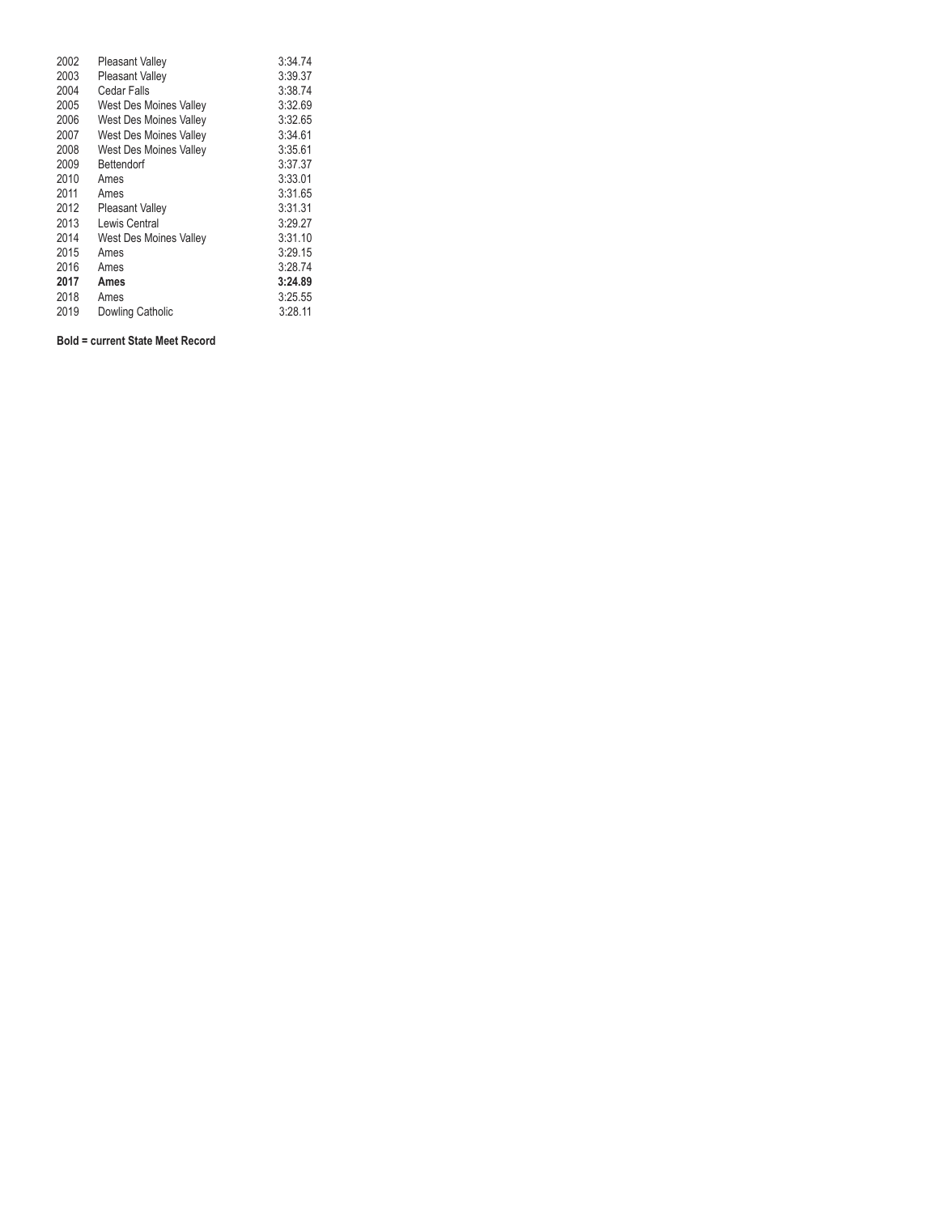| 2002 | <b>Pleasant Valley</b>        | 3:34.74 |
|------|-------------------------------|---------|
| 2003 | <b>Pleasant Valley</b>        | 3:39.37 |
| 2004 | Cedar Falls                   | 3:38.74 |
| 2005 | <b>West Des Moines Valley</b> | 3:32.69 |
| 2006 | <b>West Des Moines Valley</b> | 3:32.65 |
| 2007 | West Des Moines Valley        | 3:34.61 |
| 2008 | <b>West Des Moines Valley</b> | 3:35.61 |
| 2009 | Bettendorf                    | 3:37.37 |
| 2010 | Ames                          | 3:33.01 |
| 2011 | Ames                          | 3:31.65 |
| 2012 | <b>Pleasant Valley</b>        | 3:31.31 |
| 2013 | Lewis Central                 | 3:29.27 |
| 2014 | West Des Moines Valley        | 3:31.10 |
| 2015 | Ames                          | 3:29.15 |
| 2016 | Ames                          | 3:28.74 |
| 2017 | Ames                          | 3:24.89 |
| 2018 | Ames                          | 3:25.55 |
| 2019 | Dowling Catholic              | 3:28.11 |

### **Bold = current State Meet Record**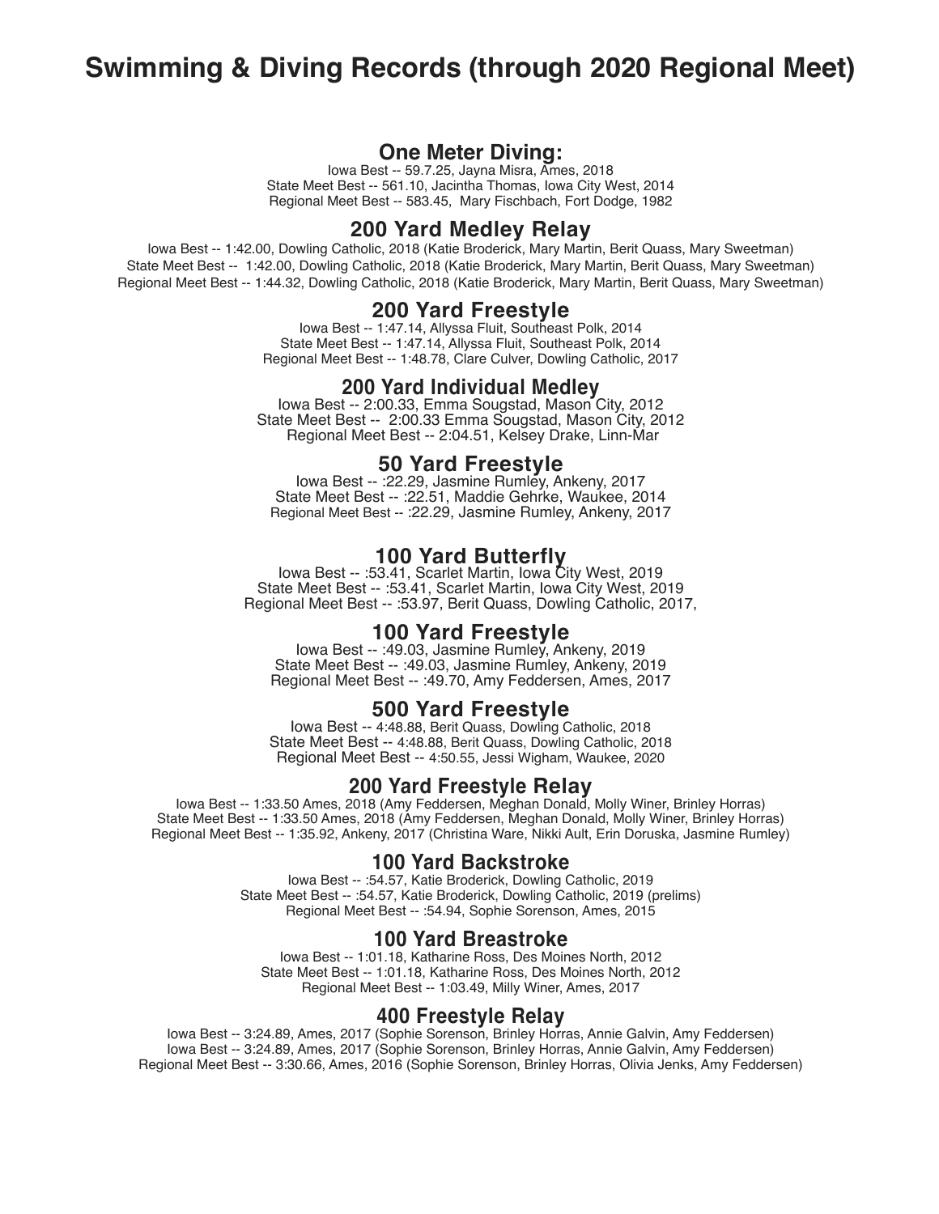## **Swimming & Diving Records (through 2020 Regional Meet)**

## **One Meter Diving:**

Iowa Best -- 59.7.25, Jayna Misra, Ames, 2018 State Meet Best -- 561.10, Jacintha Thomas, Iowa City West, 2014 Regional Meet Best -- 583.45, Mary Fischbach, Fort Dodge, 1982

## **200 Yard Medley Relay**

Iowa Best -- 1:42.00, Dowling Catholic, 2018 (Katie Broderick, Mary Martin, Berit Quass, Mary Sweetman) State Meet Best -- 1:42.00, Dowling Catholic, 2018 (Katie Broderick, Mary Martin, Berit Quass, Mary Sweetman) Regional Meet Best -- 1:44.32, Dowling Catholic, 2018 (Katie Broderick, Mary Martin, Berit Quass, Mary Sweetman)

## **200 Yard Freestyle**

Iowa Best -- 1:47.14, Allyssa Fluit, Southeast Polk, 2014 State Meet Best -- 1:47.14, Allyssa Fluit, Southeast Polk, 2014 Regional Meet Best -- 1:48.78, Clare Culver, Dowling Catholic, 2017

**200 Yard Individual Medley**<br>Iowa Best -- 2:00.33, Emma Sougstad, Mason City, 2012 State Meet Best -- 2:00.33 Emma Sougstad, Mason City, 2012 Regional Meet Best -- 2:04.51, Kelsey Drake, Linn-Mar

**50 Yard Freestyle** Iowa Best -- :22.29, Jasmine Rumley, Ankeny, 2017 State Meet Best -- :22.51, Maddie Gehrke, Waukee, 2014 Regional Meet Best -- :22.29, Jasmine Rumley, Ankeny, 2017

**100 Yard Butterfly** Iowa Best -- :53.41, Scarlet Martin, Iowa City West, 2019 State Meet Best -- :53.41, Scarlet Martin, Iowa City West, 2019 Regional Meet Best -- :53.97, Berit Quass, Dowling Catholic, 2017,

**100 Yard Freestyle** Iowa Best -- :49.03, Jasmine Rumley, Ankeny, 2019 State Meet Best -- :49.03, Jasmine Rumley, Ankeny, 2019 Regional Meet Best -- :49.70, Amy Feddersen, Ames, 2017

**500 Yard Freestyle**<br>Iowa Best -- 4:48.88, Berit Quass, Dowling Catholic, 2018 State Meet Best -- 4:48.88, Berit Quass, Dowling Catholic, 2018 Regional Meet Best -- 4:50.55, Jessi Wigham, Waukee, 2020

## **200 Yard Freestyle Relay**

Iowa Best -- 1:33.50 Ames, 2018 (Amy Feddersen, Meghan Donald, Molly Winer, Brinley Horras) State Meet Best -- 1:33.50 Ames, 2018 (Amy Feddersen, Meghan Donald, Molly Winer, Brinley Horras) Regional Meet Best -- 1:35.92, Ankeny, 2017 (Christina Ware, Nikki Ault, Erin Doruska, Jasmine Rumley)

## **100 Yard Backstroke**

Iowa Best -- :54.57, Katie Broderick, Dowling Catholic, 2019 State Meet Best -- :54.57, Katie Broderick, Dowling Catholic, 2019 (prelims) Regional Meet Best -- :54.94, Sophie Sorenson, Ames, 2015

## **100 Yard Breastroke**

Iowa Best -- 1:01.18, Katharine Ross, Des Moines North, 2012 State Meet Best -- 1:01.18, Katharine Ross, Des Moines North, 2012 Regional Meet Best -- 1:03.49, Milly Winer, Ames, 2017

## **400 Freestyle Relay**

Iowa Best -- 3:24.89, Ames, 2017 (Sophie Sorenson, Brinley Horras, Annie Galvin, Amy Feddersen) Iowa Best -- 3:24.89, Ames, 2017 (Sophie Sorenson, Brinley Horras, Annie Galvin, Amy Feddersen) Regional Meet Best -- 3:30.66, Ames, 2016 (Sophie Sorenson, Brinley Horras, Olivia Jenks, Amy Feddersen)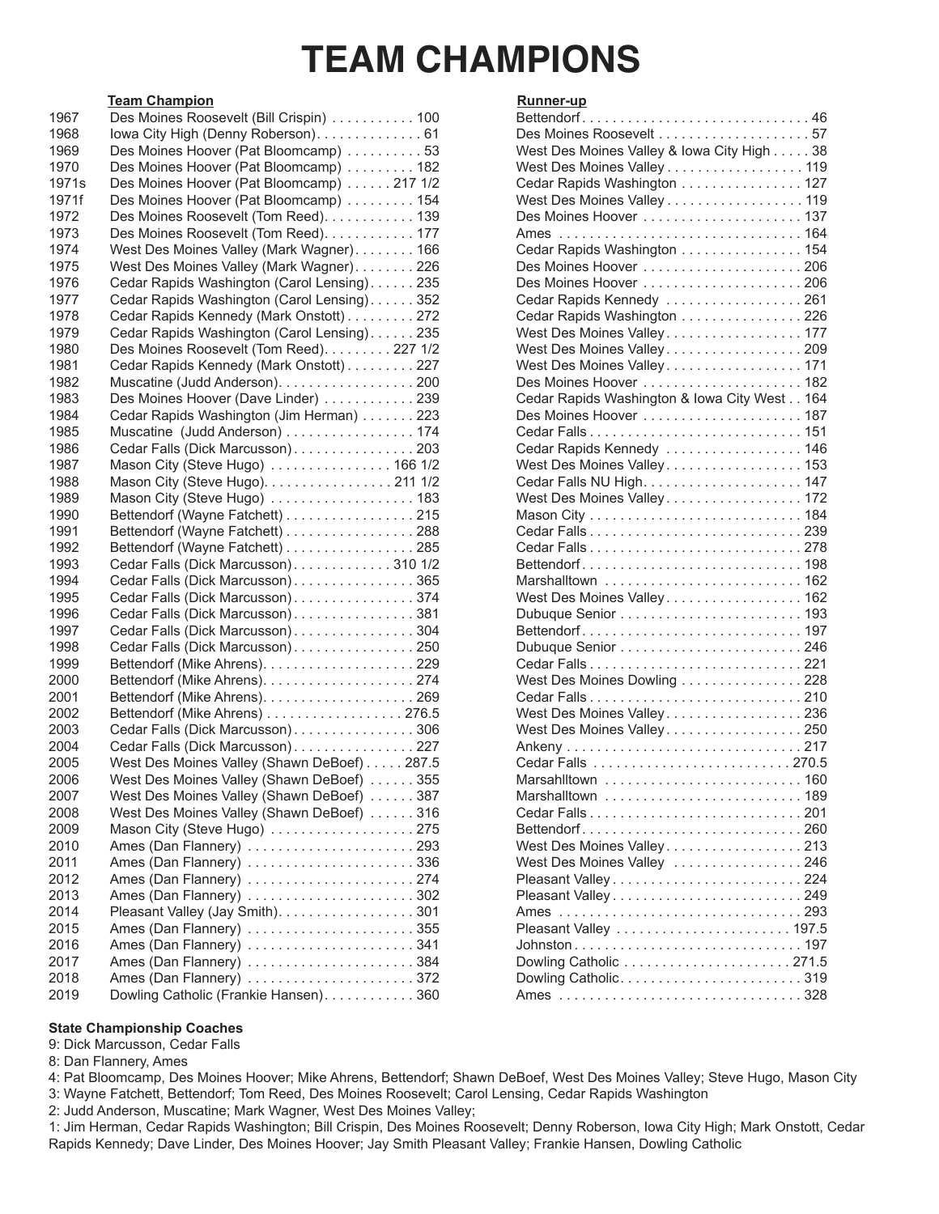## **TEAM CHAMPIONS**

## **Team Champion Runner-up**

| 1967              | Des Moines Roosevelt (Bill Crispin)  100     | Bettendorf46                                 |  |
|-------------------|----------------------------------------------|----------------------------------------------|--|
| 1968              |                                              |                                              |  |
| 1969              | Des Moines Hoover (Pat Bloomcamp) 53         | West Des Moines Valley & Iowa City High 38   |  |
| 1970              | Des Moines Hoover (Pat Bloomcamp) 182        | West Des Moines Valley 119                   |  |
| 1971 <sub>s</sub> | Des Moines Hoover (Pat Bloomcamp) 217 1/2    | Cedar Rapids Washington 127                  |  |
| 1971f             | Des Moines Hoover (Pat Bloomcamp) 154        | West Des Moines Valley 119                   |  |
| 1972              | Des Moines Roosevelt (Tom Reed). 139         |                                              |  |
| 1973              | Des Moines Roosevelt (Tom Reed). 177         |                                              |  |
| 1974              | West Des Moines Valley (Mark Wagner). 166    | Cedar Rapids Washington 154                  |  |
| 1975              | West Des Moines Valley (Mark Wagner)226      | Des Moines Hoover 206                        |  |
| 1976              | Cedar Rapids Washington (Carol Lensing) 235  |                                              |  |
| 1977              | Cedar Rapids Washington (Carol Lensing)352   | Cedar Rapids Kennedy 261                     |  |
| 1978              | Cedar Rapids Kennedy (Mark Onstott) 272      | Cedar Rapids Washington 226                  |  |
| 1979              | Cedar Rapids Washington (Carol Lensing). 235 | West Des Moines Valley 177                   |  |
| 1980              | Des Moines Roosevelt (Tom Reed). 227 1/2     | West Des Moines Valley209                    |  |
| 1981              | Cedar Rapids Kennedy (Mark Onstott) 227      | West Des Moines Valley171                    |  |
| 1982              | Muscatine (Judd Anderson). 200               |                                              |  |
| 1983              | Des Moines Hoover (Dave Linder)  239         | Cedar Rapids Washington & Iowa City West 164 |  |
| 1984              | Cedar Rapids Washington (Jim Herman) 223     |                                              |  |
| 1985              | Muscatine (Judd Anderson) 174                |                                              |  |
| 1986              | Cedar Falls (Dick Marcusson)203              | Cedar Rapids Kennedy  146                    |  |
| 1987              | Mason City (Steve Hugo) 166 1/2              | West Des Moines Valley 153                   |  |
| 1988              | Mason City (Steve Hugo). 211 1/2             |                                              |  |
| 1989              | Mason City (Steve Hugo)  183                 | West Des Moines Valley172                    |  |
| 1990              | Bettendorf (Wayne Fatchett) 215              |                                              |  |
| 1991              | Bettendorf (Wayne Fatchett) 288              |                                              |  |
| 1992              | Bettendorf (Wayne Fatchett) 285              |                                              |  |
| 1993              | Cedar Falls (Dick Marcusson)310 1/2          |                                              |  |
| 1994              | Cedar Falls (Dick Marcusson)365              |                                              |  |
| 1995              | Cedar Falls (Dick Marcusson)374              | West Des Moines Valley 162                   |  |
| 1996              | Cedar Falls (Dick Marcusson)381              |                                              |  |
| 1997              | Cedar Falls (Dick Marcusson)304              |                                              |  |
| 1998              | Cedar Falls (Dick Marcusson)250              |                                              |  |
| 1999              |                                              |                                              |  |
| 2000              |                                              | West Des Moines Dowling 228                  |  |
| 2001              |                                              |                                              |  |
| 2002              | Bettendorf (Mike Ahrens) 276.5               | West Des Moines Valley236                    |  |
| 2003              | Cedar Falls (Dick Marcusson)306              | West Des Moines Valley250                    |  |
| 2004              | Cedar Falls (Dick Marcusson)227              |                                              |  |
| 2005              | West Des Moines Valley (Shawn DeBoef) 287.5  |                                              |  |
| 2006              | West Des Moines Valley (Shawn DeBoef) 355    |                                              |  |
| 2007              | West Des Moines Valley (Shawn DeBoef) 387    | Marshalltown  189                            |  |
| 2008              | West Des Moines Valley (Shawn DeBoef) 316    |                                              |  |
| 2009              | Mason City (Steve Hugo) 275                  | Bettendorf260                                |  |
| 2010              |                                              | West Des Moines Valley213                    |  |
| 2011              | Ames (Dan Flannery) 336                      | West Des Moines Valley 246                   |  |
| 2012              |                                              |                                              |  |
| 2013              | Ames (Dan Flannery) 302                      |                                              |  |
| 2014              | Pleasant Valley (Jay Smith). 301             |                                              |  |
| 2015              | Ames (Dan Flannery) 355                      |                                              |  |
| 2016              | Ames (Dan Flannery) 341                      |                                              |  |
| 2017              | Ames (Dan Flannery) 384                      | Dowling Catholic 271.5                       |  |
| 2018              | Ames (Dan Flannery) 372                      |                                              |  |
| 2019              | Dowling Catholic (Frankie Hansen). 360       |                                              |  |
|                   |                                              |                                              |  |

| <u>Kunner-up</u>                             |  |
|----------------------------------------------|--|
| Bettendorf46                                 |  |
|                                              |  |
| West Des Moines Valley & Iowa City High 38   |  |
| West Des Moines Valley 119                   |  |
| Cedar Rapids Washington 127                  |  |
| West Des Moines Valley 119                   |  |
| Des Moines Hoover  137                       |  |
|                                              |  |
|                                              |  |
| Cedar Rapids Washington 154                  |  |
|                                              |  |
| Des Moines Hoover 206                        |  |
| Cedar Rapids Kennedy 261                     |  |
| Cedar Rapids Washington 226                  |  |
| West Des Moines Valley177                    |  |
| West Des Moines Valley209                    |  |
| West Des Moines Valley171                    |  |
| Des Moines Hoover  182                       |  |
| Cedar Rapids Washington & Iowa City West 164 |  |
|                                              |  |
|                                              |  |
| Cedar Rapids Kennedy  146                    |  |
| West Des Moines Valley 153                   |  |
|                                              |  |
|                                              |  |
| West Des Moines Valley172                    |  |
|                                              |  |
|                                              |  |
|                                              |  |
| Bettendorf198                                |  |
|                                              |  |
| West Des Moines Valley 162                   |  |
|                                              |  |
| Bettendorf197                                |  |
| Dubuque Senior 246                           |  |
|                                              |  |
| West Des Moines Dowling 228                  |  |
|                                              |  |
| West Des Moines Valley236                    |  |
| West Des Moines Valley250                    |  |
|                                              |  |
|                                              |  |
| Marsahlltown  160                            |  |
|                                              |  |
| Marshalltown 189                             |  |
|                                              |  |
| Bettendorf260                                |  |
| West Des Moines Valley213                    |  |
| West Des Moines Valley 246                   |  |
| Pleasant Valley224                           |  |
| Pleasant Valley249                           |  |
|                                              |  |
|                                              |  |
|                                              |  |
|                                              |  |
| Dowling Catholic319                          |  |
|                                              |  |
|                                              |  |

## **State Championship Coaches**

9: Dick Marcusson, Cedar Falls

8: Dan Flannery, Ames

4: Pat Bloomcamp, Des Moines Hoover; Mike Ahrens, Bettendorf; Shawn DeBoef, West Des Moines Valley; Steve Hugo, Mason City 3: Wayne Fatchett, Bettendorf; Tom Reed, Des Moines Roosevelt; Carol Lensing, Cedar Rapids Washington

2: Judd Anderson, Muscatine; Mark Wagner, West Des Moines Valley;

1: Jim Herman, Cedar Rapids Washington; Bill Crispin, Des Moines Roosevelt; Denny Roberson, Iowa City High; Mark Onstott, Cedar Rapids Kennedy; Dave Linder, Des Moines Hoover; Jay Smith Pleasant Valley; Frankie Hansen, Dowling Catholic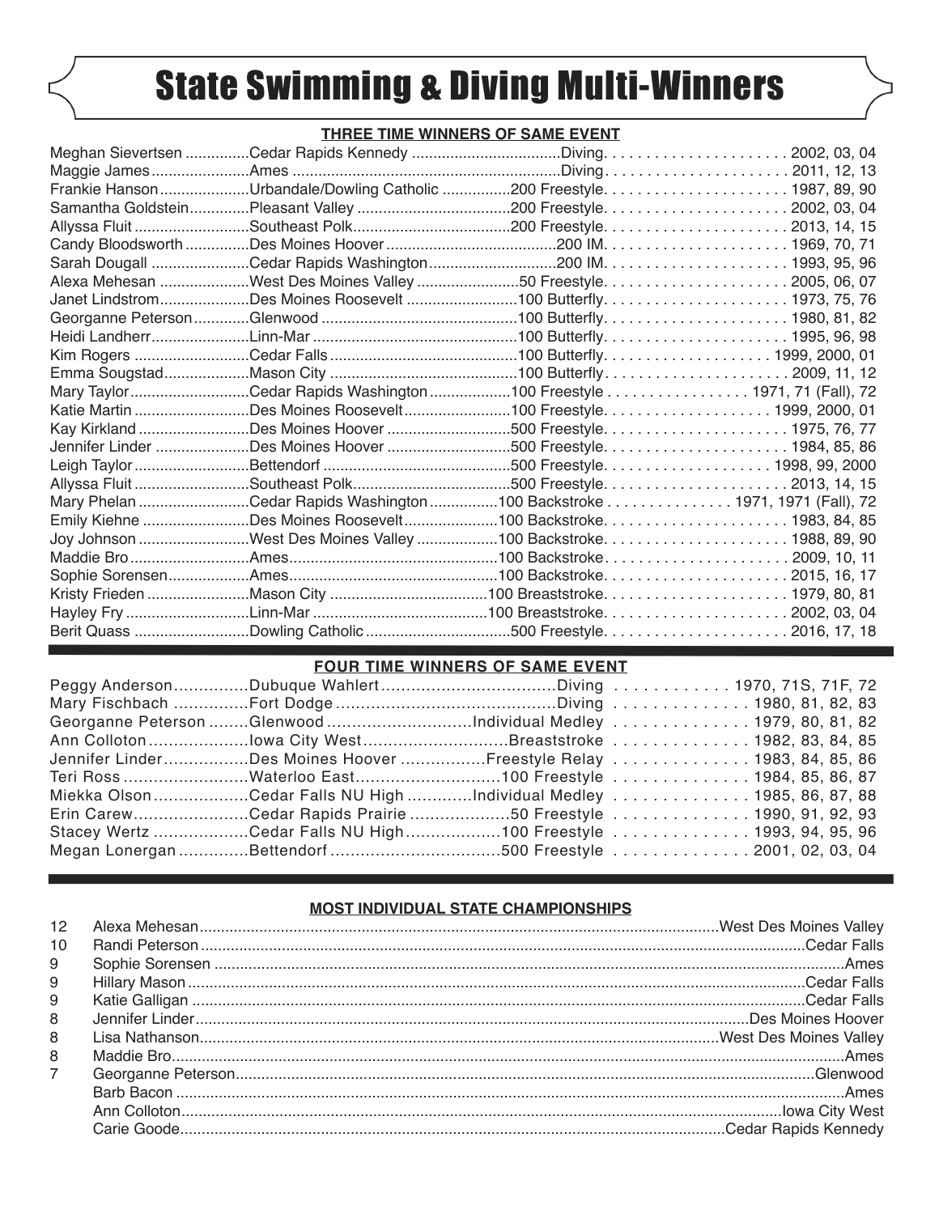## State Swimming & Diving Multi-Winners

## **THREE TIME WINNERS OF SAME EVENT**

| Mary TaylorCedar Rapids Washington100 Freestyle 1971, 71 (Fall), 72      |  |
|--------------------------------------------------------------------------|--|
| Katie Martin Des Moines Roosevelt100 Freestyle. 1999, 2000, 01           |  |
|                                                                          |  |
|                                                                          |  |
|                                                                          |  |
|                                                                          |  |
| Mary Phelan Cedar Rapids Washington 100 Backstroke 1971, 1971 (Fall), 72 |  |
|                                                                          |  |
|                                                                          |  |
|                                                                          |  |
|                                                                          |  |
|                                                                          |  |
|                                                                          |  |
|                                                                          |  |

## **FOUR TIME WINNERS OF SAME EVENT**

|  | Peggy AndersonDubuque WahlertDiving  1970, 71S, 71F, 72              |
|--|----------------------------------------------------------------------|
|  |                                                                      |
|  | Georganne Peterson Glenwood Individual Medley 1979, 80, 81, 82       |
|  | Ann Collotonlowa City WestBreaststroke 1982, 83, 84, 85              |
|  | Jennifer LinderDes Moines Hoover Freestyle Relay  1983, 84, 85, 86   |
|  | Teri Ross Waterloo East100 Freestyle 1984, 85, 86, 87                |
|  | Miekka Olson Cedar Falls NU High Individual Medley  1985, 86, 87, 88 |
|  | Erin CarewCedar Rapids Prairie 50 Freestyle 1990, 91, 92, 93         |
|  | Stacey Wertz Cedar Falls NU High100 Freestyle 1993, 94, 95, 96       |
|  |                                                                      |

## **MOST INDIVIDUAL STATE CHAMPIONSHIPS**

| 12             |  |
|----------------|--|
| 10             |  |
| 9              |  |
| 9              |  |
| 9              |  |
| 8              |  |
| 8              |  |
| 8              |  |
| $\overline{7}$ |  |
|                |  |
|                |  |
|                |  |
|                |  |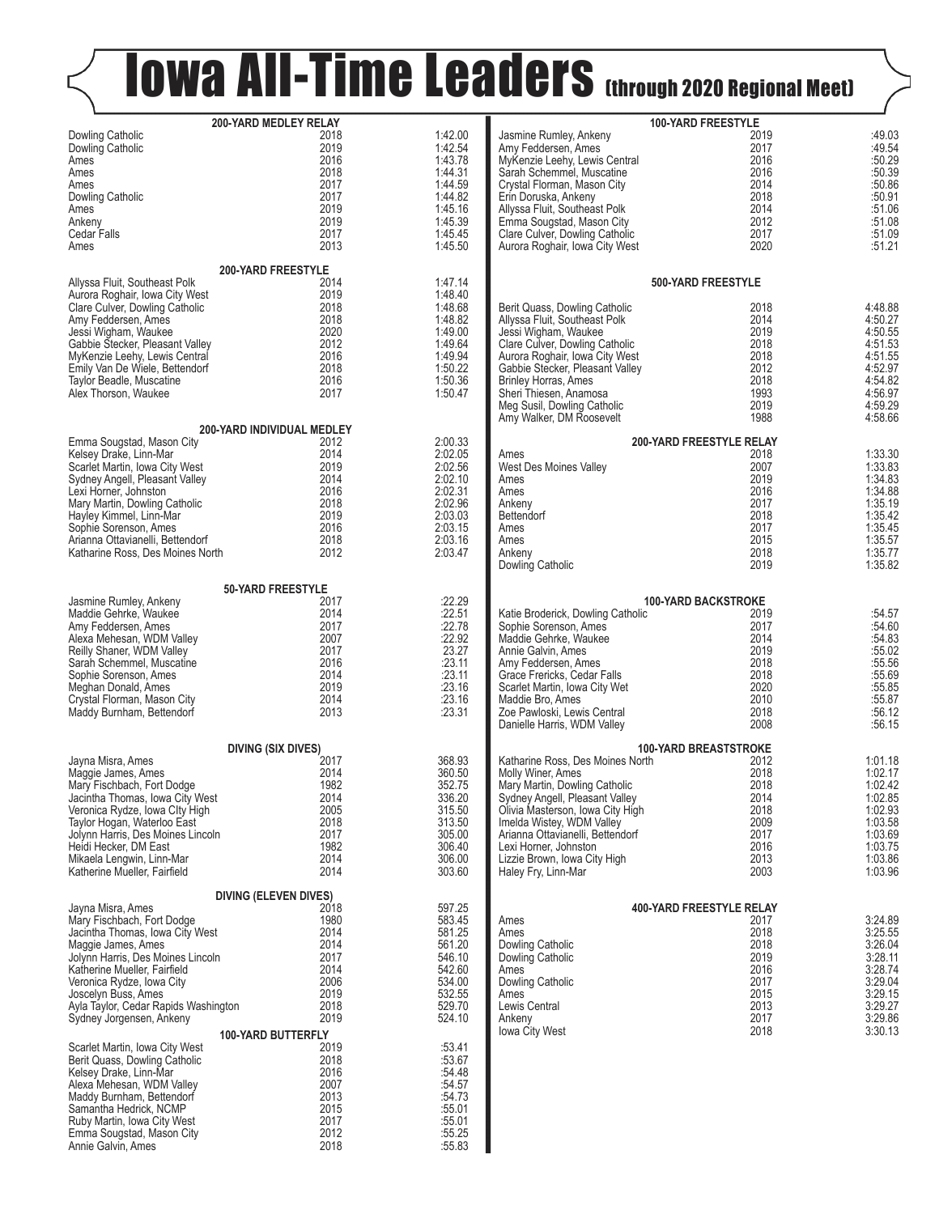# Kalers (through 2020 Regional Meet)

|                                                                   | 200-YARD MEDLEY RELAY<br>2018 |                    |                                                                    | 100-YARD FREESTYLE<br>2019      |                    |  |
|-------------------------------------------------------------------|-------------------------------|--------------------|--------------------------------------------------------------------|---------------------------------|--------------------|--|
| Dowling Catholic<br>Dowling Catholic                              | 2019                          | 1:42.00<br>1:42.54 | Jasmine Rumley, Ankeny<br>Amy Feddersen, Ames                      | 2017                            | :49.03<br>:49.54   |  |
| Ames                                                              | 2016                          | 1:43.78            | MyKenzie Leehy, Lewis Central                                      | 2016                            | :50.29             |  |
| Ames                                                              | 2018                          | 1:44.31            | Sarah Schemmel, Muscatine                                          | 2016                            | :50.39             |  |
| Ames                                                              | 2017                          | 1:44.59            | Crystal Florman, Mason City                                        | 2014                            | :50.86             |  |
| Dowling Catholic                                                  | 2017                          | 1:44.82            | Erin Doruska, Ankeny                                               | 2018                            | :50.91             |  |
| Ames                                                              | 2019                          | 1:45.16            | Allyssa Fluit, Southeast Polk                                      | 2014                            | $:51.06$<br>:51.08 |  |
| Ankeny                                                            | 2019                          | 1:45.39            | Emma Sougstad, Mason City                                          | 2012                            |                    |  |
| Cedar Falls                                                       | 2017<br>2013                  | 1:45.45<br>1:45.50 | Clare Culver, Dowling Catholic                                     | 2017                            | :51.09<br>:51.21   |  |
| Ames                                                              |                               |                    | Aurora Roghair, Iowa City West                                     | 2020                            |                    |  |
|                                                                   | 200-YARD FREESTYLE            |                    |                                                                    |                                 |                    |  |
| Allyssa Fluit, Southeast Polk                                     | 2014                          | 1:47.14            |                                                                    | 500-YARD FREESTYLE              |                    |  |
| Aurora Roghair, Iowa City West                                    | 2019<br>2018                  | 1:48.40            |                                                                    |                                 |                    |  |
| Clare Culver, Dowling Catholic<br>Amy Feddersen, Ames             | 2018                          | 1:48.68<br>1:48.82 | Berit Quass, Dowling Catholic<br>Allyssa Fluit, Southeast Polk     | 2018<br>2014                    | 4:48.88<br>4:50.27 |  |
| Jessi Wigham, Waukee                                              | 2020                          | 1:49.00            | Jessi Wigham, Waukee                                               | 2019                            | 4:50.55            |  |
| Gabbie Stecker, Pleasant Valley                                   | 2012                          | 1:49.64            | Clare Culver, Dowling Catholic                                     | 2018                            | 4:51.53            |  |
| MyKenzie Leehy, Lewis Central                                     | 2016                          | 1:49.94            | Aurora Roghair, Iowa City West                                     | 2018                            | 4:51.55            |  |
| Emily Van De Wiele, Bettendorf                                    | 2018                          | 1:50.22            | Gabbie Stecker, Pleasant Valley                                    | 2012                            | 4:52.97            |  |
| Taylor Beadle, Muscatine                                          | 2016                          | 1:50.36            | <b>Brinley Horras, Ames</b>                                        | 2018                            | 4:54.82            |  |
| Alex Thorson, Waukee                                              | 2017                          | 1:50.47            | Sheri Thiesen, Anamosa                                             | 1993                            | 4:56.97            |  |
|                                                                   |                               |                    | Meg Susil, Dowling Catholic<br>Amy Walker, DM Roosevelt            | 2019<br>1988                    | 4:59.29<br>4:58.66 |  |
|                                                                   | 200-YARD INDIVIDUAL MEDLEY    |                    |                                                                    |                                 |                    |  |
| Emma Sougstad, Mason City                                         | 2012                          | 2:00.33            |                                                                    | 200-YARD FREESTYLE RELAY        |                    |  |
| Kelsey Drake, Linn-Mar                                            | 2014                          | 2:02.05            | Ames                                                               | 2018                            | 1:33.30            |  |
| Scarlet Martin, Iowa City West<br>Sydney Angell, Pleasant Valley  | 2019<br>2014                  | 2:02.56            | West Des Moines Valley                                             | 2007<br>2019                    | 1:33.83            |  |
| Lexi Horner, Johnston                                             | 2016                          | 2:02.10<br>2:02.31 | Ames<br>Ames                                                       | 2016                            | 1:34.83<br>1:34.88 |  |
| Mary Martin, Dowling Catholic                                     | 2018                          | 2:02.96            | Ankeny                                                             | 2017                            | 1:35.19            |  |
| Hayley Kimmel, Linn-Mar                                           | 2019                          | 2:03.03            | <b>Bettendorf</b>                                                  | 2018                            | 1:35.42            |  |
| Sophie Sorenson, Ames                                             | 2016                          | 2:03.15            | Ames                                                               | 2017                            | 1:35.45            |  |
| Arianna Ottavianelli, Bettendorf                                  | 2018                          | 2:03.16            | Ames                                                               | 2015                            | 1:35.57            |  |
| Katharine Ross, Des Moines North                                  | 2012                          | 2:03.47            | Ankeny                                                             | 2018                            | 1:35.77            |  |
|                                                                   |                               |                    | Dowling Catholic                                                   | 2019                            | 1:35.82            |  |
|                                                                   | 50-YARD FREESTYLE             |                    |                                                                    |                                 |                    |  |
| Jasmine Rumley, Ankeny                                            | 2017                          | :22.29             |                                                                    | <b>100-YARD BACKSTROKE</b>      |                    |  |
| Maddie Gehrke, Waukee                                             | 2014                          | :22.51             | Katie Broderick, Dowling Catholic                                  | 2019                            | :54.57             |  |
| Amy Feddersen, Ames                                               | 2017<br>2007                  | :22.78<br>:22.92   | Sophie Sorenson, Ames                                              | 2017<br>2014                    | :54.60<br>:54.83   |  |
| Alexa Mehesan, WDM Valley<br>Reilly Shaner, WDM Valley            | 2017                          | 23.27              | Maddie Gehrke, Waukee<br>Annie Galvin, Ames                        | 2019                            | :55.02             |  |
| Sarah Schemmel, Muscatine                                         | 2016                          | :23.11             | Amy Feddersen, Ames                                                | 2018                            | :55.56             |  |
| Sophie Sorenson, Ames                                             | 2014                          | :23.11             | Grace Frericks, Cedar Falls                                        | 2018                            | :55.69             |  |
| Meghan Donald, Ames                                               | 2019                          | :23.16             | Scarlet Martin, Iowa City Wet                                      | 2020                            | :55.85             |  |
| Crystal Florman, Mason City                                       | 2014                          | :23.16             | Maddie Bro, Ames                                                   | 2010                            | :55.87             |  |
| Maddy Burnham, Bettendorf                                         | 2013                          | :23.31             | Zoe Pawloski, Lewis Central                                        | 2018                            | :56.12             |  |
|                                                                   |                               |                    | Danielle Harris, WDM Valley                                        | 2008                            | :56.15             |  |
|                                                                   | <b>DIVING (SIX DIVES)</b>     |                    |                                                                    | <b>100-YARD BREASTSTROKE</b>    |                    |  |
| Jayna Misra, Ames                                                 | 2017                          | 368.93             | Katharine Ross, Des Moines North                                   | 2012                            | 1:01.18            |  |
| Maggie James, Ames                                                | 2014                          | 360.50             | Molly Winer, Ames                                                  | 2018                            | 1:02.17            |  |
| Mary Fischbach, Fort Dodge                                        | 1982                          | 352.75             | Mary Martin, Dowling Catholic                                      | 2018<br>2014                    | 1:02.42<br>1:02.85 |  |
| Jacintha Thomas, Iowa City West<br>Veronica Rydze, Iowa Clty High | 2014<br>2005                  | 336.20<br>315.50   | Sydney Angell, Pleasant Valley<br>Olivia Masterson, Iowa City High | 2018                            | 1:02.93            |  |
| Taylor Hogan, Waterloo East                                       | 2018                          | 313.50             | Imelda Wistey, WDM Valley                                          | 2009                            | 1:03.58            |  |
| Jolynn Harris, Des Moines Lincoln                                 | 2017                          | 305.00             | Arianna Ottavianelli, Bettendorf                                   | 2017                            | 1:03.69            |  |
| Heidi Hecker, DM East                                             | 1982                          | 306.40             | Lexi Horner, Johnston                                              | 2016                            | 1:03.75            |  |
| Mikaela Lengwin, Linn-Mar                                         | 2014                          | 306.00             | Lizzie Brown, Iowa City High                                       | 2013                            | 1:03.86            |  |
| Katherine Mueller, Fairfield                                      | 2014                          | 303.60             | Haley Fry, Linn-Mar                                                | 2003                            | 1:03.96            |  |
|                                                                   | DIVING (ELEVEN DIVES)         |                    |                                                                    |                                 |                    |  |
| Jayna Misra, Ames                                                 | 2018                          | 597.25             |                                                                    | <b>400-YARD FREESTYLE RELAY</b> |                    |  |
| Mary Fischbach, Fort Dodge                                        | 1980                          | 583.45             | Ames                                                               | 2017                            | 3:24.89            |  |
| Jacintha Thomas, Iowa City West<br>Maggie James, Ames             | 2014<br>2014                  | 581.25<br>561.20   | Ames<br>Dowling Catholic                                           | 2018<br>2018                    | 3:25.55<br>3:26.04 |  |
| Jolynn Harris, Des Moines Lincoln                                 | 2017                          | 546.10             | Dowling Catholic                                                   | 2019                            | 3:28.11            |  |
| Katherine Mueller, Fairfield                                      | 2014                          | 542.60             | Ames                                                               | 2016                            | 3:28.74            |  |
| Veronica Rydze, Iowa City                                         | 2006                          | 534.00             | Dowling Catholic                                                   | 2017                            | 3:29.04            |  |
| Joscelyn Buss, Ames                                               | 2019                          | 532.55             | Ames                                                               | 2015                            | 3:29.15            |  |
| Ayla Taylor, Cedar Rapids Washington                              | 2018                          | 529.70             | Lewis Central                                                      | 2013                            | 3:29.27            |  |
| Sydney Jorgensen, Ankeny                                          | 2019                          | 524.10             | Ankeny<br><b>Iowa City West</b>                                    | 2017<br>2018                    | 3:29.86<br>3:30.13 |  |
|                                                                   | 100-YARD BUTTERFLY<br>2019    | :53.41             |                                                                    |                                 |                    |  |
| Scarlet Martin, Iowa City West<br>Berit Quass, Dowling Catholic   | 2018                          | :53.67             |                                                                    |                                 |                    |  |
| Kelsey Drake, Linn-Mar                                            | 2016                          | :54.48             |                                                                    |                                 |                    |  |
| Alexa Mehesan, WDM Valley                                         | 2007                          | :54.57             |                                                                    |                                 |                    |  |
| Maddy Burnham, Bettendorf                                         | 2013                          | :54.73             |                                                                    |                                 |                    |  |
| Samantha Hedrick, NCMP                                            | 2015                          | :55.01             |                                                                    |                                 |                    |  |
| Ruby Martin, Iowa City West                                       | 2017                          | :55.01             |                                                                    |                                 |                    |  |
| Emma Sougstad, Mason City<br>Annie Galvin, Ames                   | 2012<br>2018                  | :55.25<br>:55.83   |                                                                    |                                 |                    |  |
|                                                                   |                               |                    |                                                                    |                                 |                    |  |